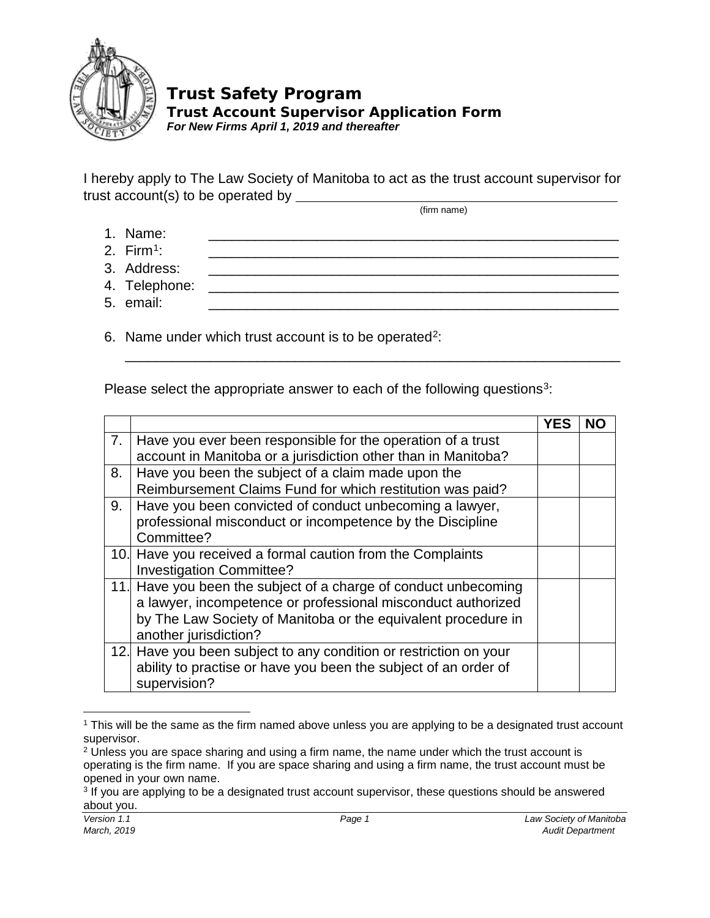

## **Trust Safety Program**

**Trust Account Supervisor Application Form** *For New Firms April 1, 2019 and thereafter*

I hereby apply to The Law Society of Manitoba to act as the trust account supervisor for trust account(s) to be operated by  $\frac{1}{\sqrt{1-\frac{1}{2}}\sqrt{1-\frac{1}{2}}\cdot\frac{1}{\sqrt{1-\frac{1}{2}}}}$ (firm name)

1. Name: \_\_\_\_\_\_\_\_\_\_\_\_\_\_\_\_\_\_\_\_\_\_\_\_\_\_\_\_\_\_\_\_\_\_\_\_\_\_\_\_\_\_\_\_\_\_\_\_\_\_\_\_\_

\_\_\_\_\_\_\_\_\_\_\_\_\_\_\_\_\_\_\_\_\_\_\_\_\_\_\_\_\_\_\_\_\_\_\_\_\_\_\_\_\_\_\_\_\_\_\_\_\_\_\_\_\_\_\_\_\_\_\_\_\_\_\_\_

- 2. Firm[1:](#page-0-0) \_\_\_\_\_\_\_\_\_\_\_\_\_\_\_\_\_\_\_\_\_\_\_\_\_\_\_\_\_\_\_\_\_\_\_\_\_\_\_\_\_\_\_\_\_\_\_\_\_\_\_\_\_
- 3. Address:
- 4. Telephone:
- 5. email: \_\_\_\_\_\_\_\_\_\_\_\_\_\_\_\_\_\_\_\_\_\_\_\_\_\_\_\_\_\_\_\_\_\_\_\_\_\_\_\_\_\_\_\_\_\_\_\_\_\_\_\_\_

6. Name under which trust account is to be operated<sup>2</sup>:

Please select the appropriate answer to each of the following questions<sup>[3](#page-0-2)</sup>:

|    |                                                                                                                                                                                                                           | NΟ |
|----|---------------------------------------------------------------------------------------------------------------------------------------------------------------------------------------------------------------------------|----|
| 7. | Have you ever been responsible for the operation of a trust<br>account in Manitoba or a jurisdiction other than in Manitoba?                                                                                              |    |
| 8. | Have you been the subject of a claim made upon the<br>Reimbursement Claims Fund for which restitution was paid?                                                                                                           |    |
| 9. | Have you been convicted of conduct unbecoming a lawyer,<br>professional misconduct or incompetence by the Discipline<br>Committee?                                                                                        |    |
|    | 10. Have you received a formal caution from the Complaints<br><b>Investigation Committee?</b>                                                                                                                             |    |
|    | 11. Have you been the subject of a charge of conduct unbecoming<br>a lawyer, incompetence or professional misconduct authorized<br>by The Law Society of Manitoba or the equivalent procedure in<br>another jurisdiction? |    |
|    | 12. Have you been subject to any condition or restriction on your<br>ability to practise or have you been the subject of an order of<br>supervision?                                                                      |    |

<span id="page-0-0"></span><sup>1</sup> This will be the same as the firm named above unless you are applying to be a designated trust account supervisor.

 $\overline{\phantom{a}}$ 

<span id="page-0-1"></span> $2$  Unless you are space sharing and using a firm name, the name under which the trust account is operating is the firm name. If you are space sharing and using a firm name, the trust account must be opened in your own name.

<span id="page-0-2"></span><sup>&</sup>lt;sup>3</sup> If you are applying to be a designated trust account supervisor, these questions should be answered about you.